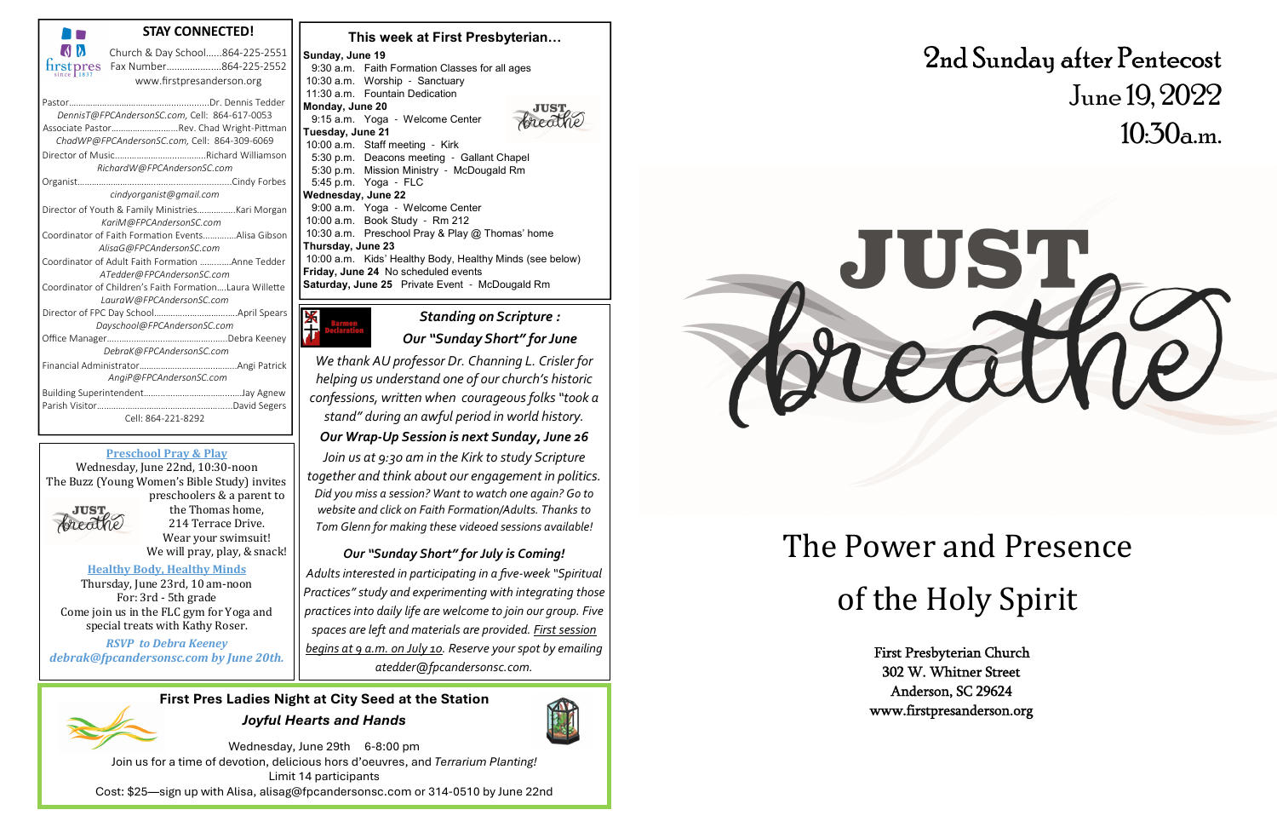

### **Preschool Pray & Play**

preschoolers & a parent to the Thomas home, 214 Terrace Drive. Wear your swimsuit! We will pray, play, & snack!

#### **Healthy Body, Healthy Minds**

#### **This week at First Presbyterian…Sunday, June 19** 9:30 a.m. Faith Formation Classes for all ages10:30 a.m. Worship - Sanctuary11:30 a.m. Fountain Dedication**Monday, June 20** 9:15 a.m. Yoga - Welcome Center**Tuesday, June 21** 10:00 a.m. Staff meeting - Kirk 5:30 p.m. Deacons meeting - Gallant Chapel 5:30 p.m. Mission Ministry - McDougald Rm5:45 p.m. Yoga - FLC**Wednesday, June 22** 9:00 a.m. Yoga - Welcome Center10:00 a.m. Book Study - Rm 212 10:30 a.m. Preschool Pray & Play @ Thomas' home**Thursday, June 23**  10:00 a.m. Kids' Healthy Body, Healthy Minds (see below)**Friday, June 24** No scheduled events**Saturday, June 25** Private Event - McDougald Rm



Wednesday, June 29th 6-8:00 pm Join us for a time of devotion, delicious hors d'oeuvres, and *Terrarium Planting!* Limit 14 participants Cost: \$25—sign up with Alisa, alisag@fpcandersonsc.com or 314-0510 by June 22nd

*Standing on Scripture : Our "Sunday Short" for June* 

*We thank AU professor Dr. Channing L. Crisler for helping us understand one of our church's historic confessions, written when courageous folks "took astand" during an awful period in world history.* 

## *Our Wrap-Up Session is next Sunday, June 26*

*Join us at 9:30 am in the Kirk to study Scripture together and think about our engagement in politics. Did you miss a session? Want to watch one again? Go to website and click on Faith Formation/Adults. Thanks to Tom Glenn for making these videoed sessions available!* 

# *Our "Sunday Short" for July is Coming!*

*Adults interested in participating in a five-week "Spiritual Practices" study and experimenting with integrating those practices into daily life are welcome to join our group. Five spaces are left and materials are provided. First session begins at 9 a.m. on July 10. Reserve your spot by emailing atedder@fpcandersonsc.com.* 

Wednesday, June 22nd, 10:30-noon The Buzz (Young Women's Bible Study) invites

**JUST** breather

> Thursday, June 23rd, 10 am-noon For: 3rd - 5th grade Come join us in the FLC gym for Yoga and special treats with Kathy Roser.

*RSVP* to Debra Keeney *debrak@fpcandersonsc.com by June 20th.* 

> **First Pres Ladies Night at City Seed at the Station***Joyful Hearts and Hands*